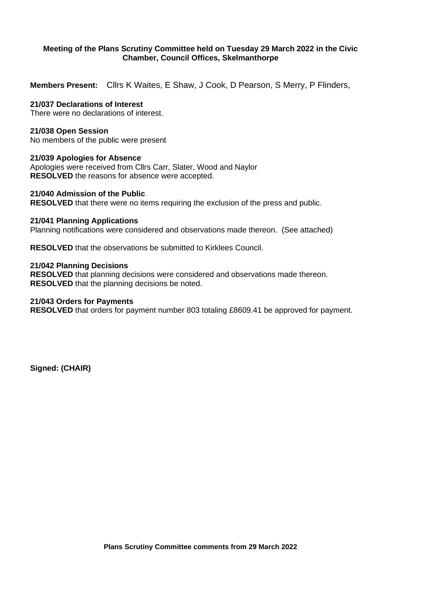# **Meeting of the Plans Scrutiny Committee held on Tuesday 29 March 2022 in the Civic Chamber, Council Offices, Skelmanthorpe**

**Members Present:** Cllrs K Waites, E Shaw, J Cook, D Pearson, S Merry, P Flinders,

# **21/037 Declarations of Interest**

There were no declarations of interest.

## **21/038 Open Session**

No members of the public were present

### **21/039 Apologies for Absence**

Apologies were received from Cllrs Carr, Slater, Wood and Naylor **RESOLVED** the reasons for absence were accepted.

# **21/040 Admission of the Public**

**RESOLVED** that there were no items requiring the exclusion of the press and public.

### **21/041 Planning Applications**

Planning notifications were considered and observations made thereon. (See attached)

**RESOLVED** that the observations be submitted to Kirklees Council.

### **21/042 Planning Decisions**

**RESOLVED** that planning decisions were considered and observations made thereon. **RESOLVED** that the planning decisions be noted.

#### **21/043 Orders for Payments**

**RESOLVED** that orders for payment number 803 totaling £8609.41 be approved for payment.

**Signed: (CHAIR)**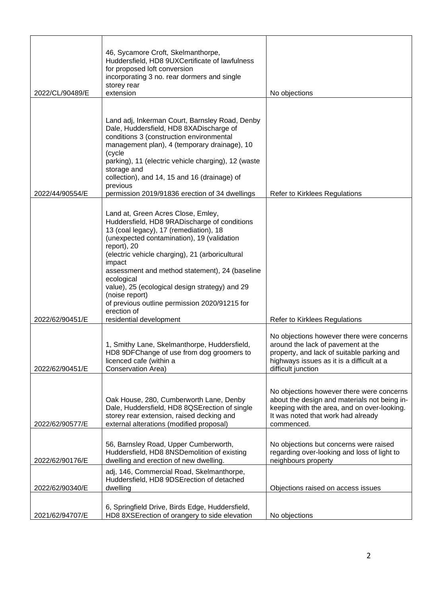| 2022/CL/90489/E | 46, Sycamore Croft, Skelmanthorpe,<br>Huddersfield, HD8 9UXCertificate of lawfulness<br>for proposed loft conversion<br>incorporating 3 no. rear dormers and single<br>storey rear<br>extension                                                                                                                                                                                                                                                                                       | No objections                                                                                                                                                                                    |
|-----------------|---------------------------------------------------------------------------------------------------------------------------------------------------------------------------------------------------------------------------------------------------------------------------------------------------------------------------------------------------------------------------------------------------------------------------------------------------------------------------------------|--------------------------------------------------------------------------------------------------------------------------------------------------------------------------------------------------|
|                 |                                                                                                                                                                                                                                                                                                                                                                                                                                                                                       |                                                                                                                                                                                                  |
|                 | Land adj, Inkerman Court, Barnsley Road, Denby<br>Dale, Huddersfield, HD8 8XADischarge of<br>conditions 3 (construction environmental<br>management plan), 4 (temporary drainage), 10<br>(cycle<br>parking), 11 (electric vehicle charging), 12 (waste<br>storage and<br>collection), and 14, 15 and 16 (drainage) of<br>previous                                                                                                                                                     |                                                                                                                                                                                                  |
| 2022/44/90554/E | permission 2019/91836 erection of 34 dwellings                                                                                                                                                                                                                                                                                                                                                                                                                                        | Refer to Kirklees Regulations                                                                                                                                                                    |
| 2022/62/90451/E | Land at, Green Acres Close, Emley,<br>Huddersfield, HD8 9RADischarge of conditions<br>13 (coal legacy), 17 (remediation), 18<br>(unexpected contamination), 19 (validation<br>report), 20<br>(electric vehicle charging), 21 (arboricultural<br>impact<br>assessment and method statement), 24 (baseline<br>ecological<br>value), 25 (ecological design strategy) and 29<br>(noise report)<br>of previous outline permission 2020/91215 for<br>erection of<br>residential development | Refer to Kirklees Regulations                                                                                                                                                                    |
| 2022/62/90451/E | 1, Smithy Lane, Skelmanthorpe, Huddersfield,<br>HD8 9DFChange of use from dog groomers to<br>licenced cafe (within a<br>Conservation Area)                                                                                                                                                                                                                                                                                                                                            | No objections however there were concerns<br>around the lack of pavement at the<br>property, and lack of suitable parking and<br>highways issues as it is a difficult at a<br>difficult junction |
| 2022/62/90577/E | Oak House, 280, Cumberworth Lane, Denby<br>Dale, Huddersfield, HD8 8QSE rection of single<br>storey rear extension, raised decking and<br>external alterations (modified proposal)                                                                                                                                                                                                                                                                                                    | No objections however there were concerns<br>about the design and materials not being in-<br>keeping with the area, and on over-looking.<br>It was noted that work had already<br>commenced.     |
| 2022/62/90176/E | 56, Barnsley Road, Upper Cumberworth,<br>Huddersfield, HD8 8NSDemolition of existing<br>dwelling and erection of new dwelling                                                                                                                                                                                                                                                                                                                                                         | No objections but concerns were raised<br>regarding over-looking and loss of light to<br>neighbours property                                                                                     |
| 2022/62/90340/E | adj, 146, Commercial Road, Skelmanthorpe,<br>Huddersfield, HD8 9DSErection of detached<br>dwelling                                                                                                                                                                                                                                                                                                                                                                                    | Objections raised on access issues                                                                                                                                                               |
| 2021/62/94707/E | 6, Springfield Drive, Birds Edge, Huddersfield,<br>HD8 8XSE rection of orangery to side elevation                                                                                                                                                                                                                                                                                                                                                                                     | No objections                                                                                                                                                                                    |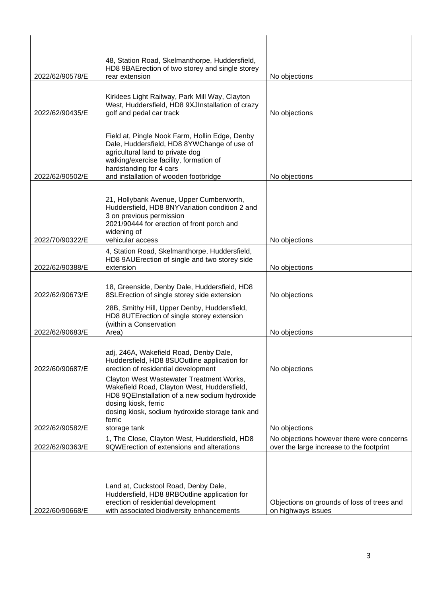|                 | 48, Station Road, Skelmanthorpe, Huddersfield,<br>HD8 9BAErection of two storey and single storey                                                                                                                                                |                                                                                       |
|-----------------|--------------------------------------------------------------------------------------------------------------------------------------------------------------------------------------------------------------------------------------------------|---------------------------------------------------------------------------------------|
| 2022/62/90578/E | rear extension                                                                                                                                                                                                                                   | No objections                                                                         |
| 2022/62/90435/E | Kirklees Light Railway, Park Mill Way, Clayton<br>West, Huddersfield, HD8 9XJInstallation of crazy<br>golf and pedal car track                                                                                                                   | No objections                                                                         |
| 2022/62/90502/E | Field at, Pingle Nook Farm, Hollin Edge, Denby<br>Dale, Huddersfield, HD8 8YWChange of use of<br>agricultural land to private dog<br>walking/exercise facility, formation of<br>hardstanding for 4 cars<br>and installation of wooden footbridge | No objections                                                                         |
|                 | 21, Hollybank Avenue, Upper Cumberworth,<br>Huddersfield, HD8 8NYVariation condition 2 and<br>3 on previous permission<br>2021/90444 for erection of front porch and<br>widening of                                                              |                                                                                       |
| 2022/70/90322/E | vehicular access                                                                                                                                                                                                                                 | No objections                                                                         |
| 2022/62/90388/E | 4, Station Road, Skelmanthorpe, Huddersfield,<br>HD8 9AUErection of single and two storey side<br>extension                                                                                                                                      | No objections                                                                         |
| 2022/62/90673/E | 18, Greenside, Denby Dale, Huddersfield, HD8<br>8SLE rection of single storey side extension                                                                                                                                                     | No objections                                                                         |
| 2022/62/90683/E | 28B, Smithy Hill, Upper Denby, Huddersfield,<br>HD8 8UTErection of single storey extension<br>(within a Conservation<br>Area)                                                                                                                    | No objections                                                                         |
| 2022/60/90687/E | adj, 246A, Wakefield Road, Denby Dale,<br>Huddersfield, HD8 8SUOutline application for<br>erection of residential development                                                                                                                    | No objections                                                                         |
|                 | Clayton West Wastewater Treatment Works,<br>Wakefield Road, Clayton West, Huddersfield,<br>HD8 9QEInstallation of a new sodium hydroxide<br>dosing kiosk, ferric<br>dosing kiosk, sodium hydroxide storage tank and<br>ferric                    |                                                                                       |
| 2022/62/90582/E | storage tank                                                                                                                                                                                                                                     | No objections                                                                         |
| 2022/62/90363/E | 1, The Close, Clayton West, Huddersfield, HD8<br>9QWE rection of extensions and alterations                                                                                                                                                      | No objections however there were concerns<br>over the large increase to the footprint |
| 2022/60/90668/E | Land at, Cuckstool Road, Denby Dale,<br>Huddersfield, HD8 8RBOutline application for<br>erection of residential development<br>with associated biodiversity enhancements                                                                         | Objections on grounds of loss of trees and<br>on highways issues                      |